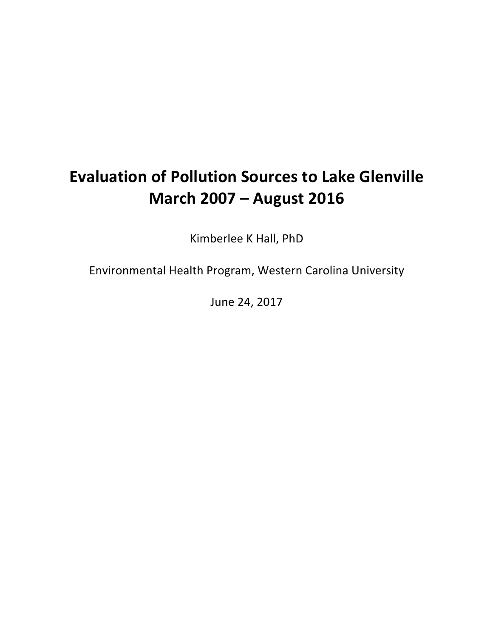# **Evaluation of Pollution Sources to Lake Glenville March 2007 – August 2016**

Kimberlee K Hall, PhD

Environmental Health Program, Western Carolina University

June 24, 2017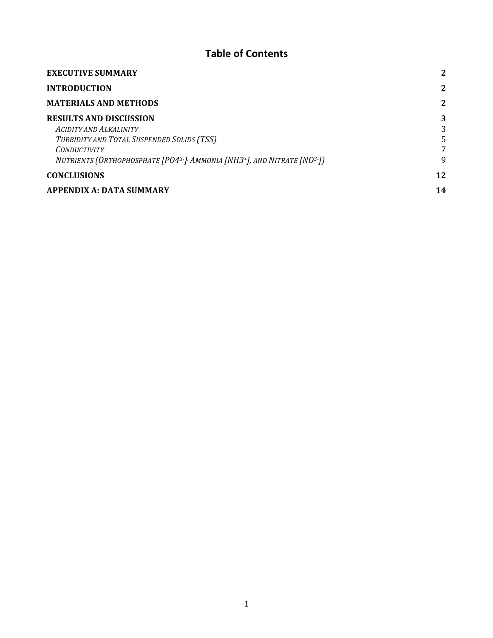# **Table of Contents**

| <b>EXECUTIVE SUMMARY</b>                                                                                      | 2  |
|---------------------------------------------------------------------------------------------------------------|----|
| <b>INTRODUCTION</b>                                                                                           | 2  |
| <b>MATERIALS AND METHODS</b>                                                                                  | 2  |
| <b>RESULTS AND DISCUSSION</b>                                                                                 | 3  |
| <b>ACIDITY AND ALKALINITY</b>                                                                                 | 3  |
| TURBIDITY AND TOTAL SUSPENDED SOLIDS (TSS)                                                                    | 5  |
| <b>CONDUCTIVITY</b>                                                                                           | 7  |
| NUTRIENTS (ORTHOPHOSPHATE [PO4 <sup>3-]</sup> / AMMONIA [NH3 <sup>+</sup> ], AND NITRATE [NO <sup>3-</sup> ]) | 9  |
| <b>CONCLUSIONS</b>                                                                                            | 12 |
| <b>APPENDIX A: DATA SUMMARY</b>                                                                               | 14 |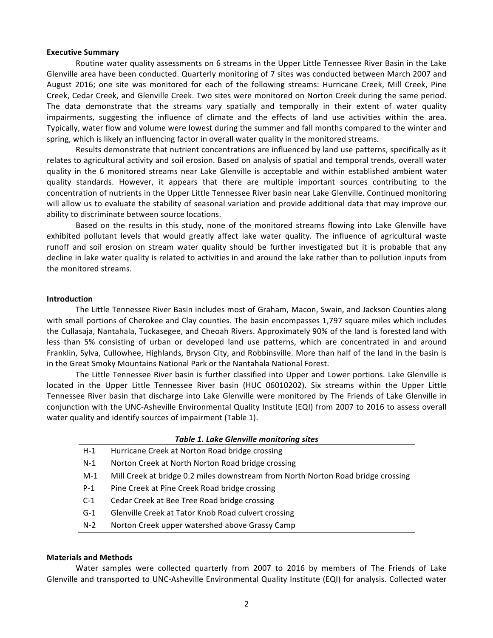#### **Executive Summary**

Routine water quality assessments on 6 streams in the Upper Little Tennessee River Basin in the Lake Glenville area have been conducted. Quarterly monitoring of 7 sites was conducted between March 2007 and August 2016; one site was monitored for each of the following streams: Hurricane Creek, Mill Creek, Pine Creek, Cedar Creek, and Glenville Creek. Two sites were monitored on Norton Creek during the same period. The data demonstrate that the streams vary spatially and temporally in their extent of water quality impairments, suggesting the influence of climate and the effects of land use activities within the area. Typically, water flow and volume were lowest during the summer and fall months compared to the winter and spring, which is likely an influencing factor in overall water quality in the monitored streams.

Results demonstrate that nutrient concentrations are influenced by land use patterns, specifically as it relates to agricultural activity and soil erosion. Based on analysis of spatial and temporal trends, overall water quality in the 6 monitored streams near Lake Glenville is acceptable and within established ambient water quality standards. However, it appears that there are multiple important sources contributing to the concentration of nutrients in the Upper Little Tennessee River basin near Lake Glenville. Continued monitoring will allow us to evaluate the stability of seasonal variation and provide additional data that may improve our ability to discriminate between source locations.

Based on the results in this study, none of the monitored streams flowing into Lake Glenville have exhibited pollutant levels that would greatly affect lake water quality. The influence of agricultural waste runoff and soil erosion on stream water quality should be further investigated but it is probable that any decline in lake water quality is related to activities in and around the lake rather than to pollution inputs from the monitored streams.

#### **Introduction**

The Little Tennessee River Basin includes most of Graham, Macon, Swain, and Jackson Counties along with small portions of Cherokee and Clay counties. The basin encompasses 1,797 square miles which includes the Cullasaja, Nantahala, Tuckasegee, and Cheoah Rivers. Approximately 90% of the land is forested land with less than 5% consisting of urban or developed land use patterns, which are concentrated in and around Franklin, Sylva, Cullowhee, Highlands, Bryson City, and Robbinsville. More than half of the land in the basin is in the Great Smoky Mountains National Park or the Nantahala National Forest.

The Little Tennessee River basin is further classified into Upper and Lower portions. Lake Glenville is located in the Upper Little Tennessee River basin (HUC 06010202). Six streams within the Upper Little Tennessee River basin that discharge into Lake Glenville were monitored by The Friends of Lake Glenville in conjunction with the UNC-Asheville Environmental Quality Institute (EQI) from 2007 to 2016 to assess overall water quality and identify sources of impairment (Table 1).

#### **Table 1. Lake Glenville monitoring sites**

- H-1 Hurricane Creek at Norton Road bridge crossing
- N-1 Norton Creek at North Norton Road bridge crossing
- M-1 Mill Creek at bridge 0.2 miles downstream from North Norton Road bridge crossing
- P-1 Pine Creek at Pine Creek Road bridge crossing
- C-1 Cedar Creek at Bee Tree Road bridge crossing
- G-1 Glenville Creek at Tator Knob Road culvert crossing
- N-2 Norton Creek upper watershed above Grassy Camp

#### **Materials and Methods**

Water samples were collected quarterly from 2007 to 2016 by members of The Friends of Lake Glenville and transported to UNC-Asheville Environmental Quality Institute (EQI) for analysis. Collected water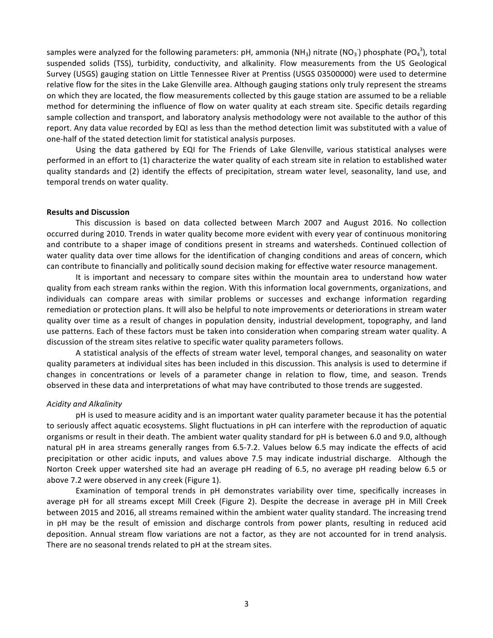samples were analyzed for the following parameters: pH, ammonia (NH<sub>3</sub>) nitrate (NO<sub>3</sub>) phosphate (PO<sub>4</sub><sup>3</sup>), total suspended solids (TSS), turbidity, conductivity, and alkalinity. Flow measurements from the US Geological Survey (USGS) gauging station on Little Tennessee River at Prentiss (USGS 03500000) were used to determine relative flow for the sites in the Lake Glenville area. Although gauging stations only truly represent the streams on which they are located, the flow measurements collected by this gauge station are assumed to be a reliable method for determining the influence of flow on water quality at each stream site. Specific details regarding sample collection and transport, and laboratory analysis methodology were not available to the author of this report. Any data value recorded by EQI as less than the method detection limit was substituted with a value of one-half of the stated detection limit for statistical analysis purposes.

Using the data gathered by EQI for The Friends of Lake Glenville, various statistical analyses were performed in an effort to (1) characterize the water quality of each stream site in relation to established water quality standards and (2) identify the effects of precipitation, stream water level, seasonality, land use, and temporal trends on water quality.

### **Results and Discussion**

This discussion is based on data collected between March 2007 and August 2016. No collection occurred during 2010. Trends in water quality become more evident with every year of continuous monitoring and contribute to a shaper image of conditions present in streams and watersheds. Continued collection of water quality data over time allows for the identification of changing conditions and areas of concern, which can contribute to financially and politically sound decision making for effective water resource management.

It is important and necessary to compare sites within the mountain area to understand how water quality from each stream ranks within the region. With this information local governments, organizations, and individuals can compare areas with similar problems or successes and exchange information regarding remediation or protection plans. It will also be helpful to note improvements or deteriorations in stream water quality over time as a result of changes in population density, industrial development, topography, and land use patterns. Each of these factors must be taken into consideration when comparing stream water quality. A discussion of the stream sites relative to specific water quality parameters follows.

A statistical analysis of the effects of stream water level, temporal changes, and seasonality on water quality parameters at individual sites has been included in this discussion. This analysis is used to determine if changes in concentrations or levels of a parameter change in relation to flow, time, and season. Trends observed in these data and interpretations of what may have contributed to those trends are suggested.

#### *Acidity and Alkalinity*

pH is used to measure acidity and is an important water quality parameter because it has the potential to seriously affect aquatic ecosystems. Slight fluctuations in pH can interfere with the reproduction of aquatic organisms or result in their death. The ambient water quality standard for pH is between 6.0 and 9.0, although natural pH in area streams generally ranges from 6.5-7.2. Values below 6.5 may indicate the effects of acid precipitation or other acidic inputs, and values above 7.5 may indicate industrial discharge. Although the Norton Creek upper watershed site had an average pH reading of 6.5, no average pH reading below 6.5 or above 7.2 were observed in any creek (Figure 1).

Examination of temporal trends in pH demonstrates variability over time, specifically increases in average pH for all streams except Mill Creek (Figure 2). Despite the decrease in average pH in Mill Creek between 2015 and 2016, all streams remained within the ambient water quality standard. The increasing trend in pH may be the result of emission and discharge controls from power plants, resulting in reduced acid deposition. Annual stream flow variations are not a factor, as they are not accounted for in trend analysis. There are no seasonal trends related to pH at the stream sites.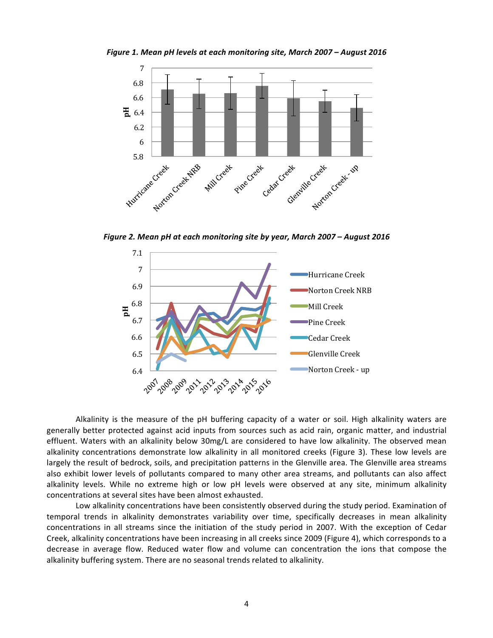*Figure 1. Mean pH levels at each monitoring site, March 2007 – August 2016*



*Figure 2. Mean pH at each monitoring site by year, March 2007 – August 2016*



Alkalinity is the measure of the  $pH$  buffering capacity of a water or soil. High alkalinity waters are generally better protected against acid inputs from sources such as acid rain, organic matter, and industrial effluent. Waters with an alkalinity below 30mg/L are considered to have low alkalinity. The observed mean alkalinity concentrations demonstrate low alkalinity in all monitored creeks (Figure 3). These low levels are largely the result of bedrock, soils, and precipitation patterns in the Glenville area. The Glenville area streams also exhibit lower levels of pollutants compared to many other area streams, and pollutants can also affect alkalinity levels. While no extreme high or low pH levels were observed at any site, minimum alkalinity concentrations at several sites have been almost exhausted.

Low alkalinity concentrations have been consistently observed during the study period. Examination of temporal trends in alkalinity demonstrates variability over time, specifically decreases in mean alkalinity concentrations in all streams since the initiation of the study period in 2007. With the exception of Cedar Creek, alkalinity concentrations have been increasing in all creeks since 2009 (Figure 4), which corresponds to a decrease in average flow. Reduced water flow and volume can concentration the ions that compose the alkalinity buffering system. There are no seasonal trends related to alkalinity.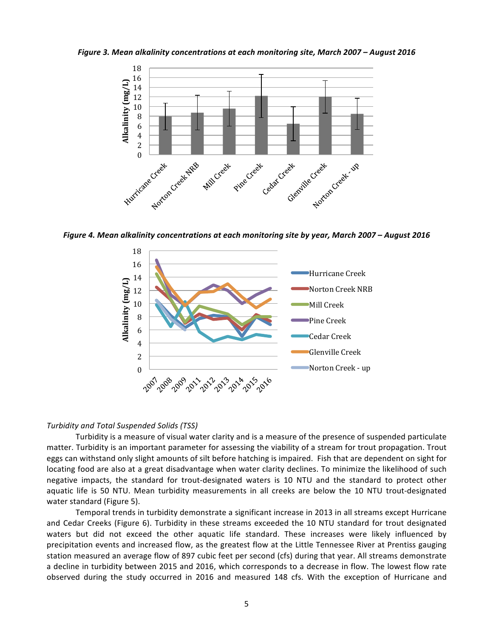Figure 3. Mean alkalinity concentrations at each monitoring site, March 2007 – August 2016



Figure 4. Mean alkalinity concentrations at each monitoring site by year, March 2007 – August 2016



#### *Turbidity and Total Suspended Solids (TSS)*

Turbidity is a measure of visual water clarity and is a measure of the presence of suspended particulate matter. Turbidity is an important parameter for assessing the viability of a stream for trout propagation. Trout eggs can withstand only slight amounts of silt before hatching is impaired. Fish that are dependent on sight for locating food are also at a great disadvantage when water clarity declines. To minimize the likelihood of such negative impacts, the standard for trout-designated waters is 10 NTU and the standard to protect other aquatic life is 50 NTU. Mean turbidity measurements in all creeks are below the 10 NTU trout-designated water standard (Figure 5).

Temporal trends in turbidity demonstrate a significant increase in 2013 in all streams except Hurricane and Cedar Creeks (Figure 6). Turbidity in these streams exceeded the 10 NTU standard for trout designated waters but did not exceed the other aquatic life standard. These increases were likely influenced by precipitation events and increased flow, as the greatest flow at the Little Tennessee River at Prentiss gauging station measured an average flow of 897 cubic feet per second (cfs) during that year. All streams demonstrate a decline in turbidity between 2015 and 2016, which corresponds to a decrease in flow. The lowest flow rate observed during the study occurred in 2016 and measured 148 cfs. With the exception of Hurricane and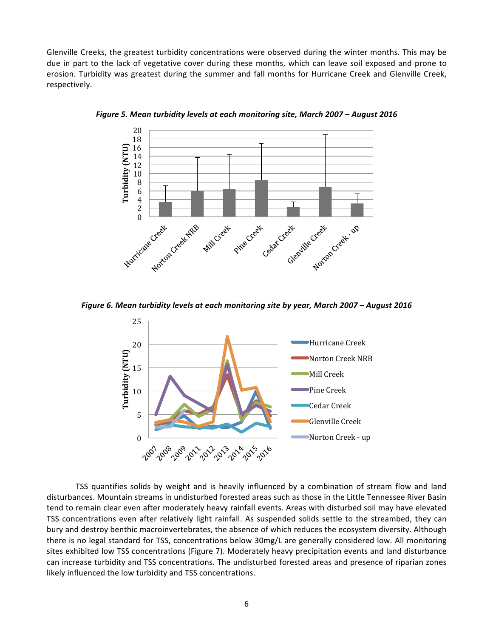Glenville Creeks, the greatest turbidity concentrations were observed during the winter months. This may be due in part to the lack of vegetative cover during these months, which can leave soil exposed and prone to erosion. Turbidity was greatest during the summer and fall months for Hurricane Creek and Glenville Creek, respectively. 



*Figure 5. Mean turbidity levels at each monitoring site, March 2007 – August 2016* 

Figure 6. Mean turbidity levels at each monitoring site by year, March 2007 – August 2016



TSS quantifies solids by weight and is heavily influenced by a combination of stream flow and land disturbances. Mountain streams in undisturbed forested areas such as those in the Little Tennessee River Basin tend to remain clear even after moderately heavy rainfall events. Areas with disturbed soil may have elevated TSS concentrations even after relatively light rainfall. As suspended solids settle to the streambed, they can bury and destroy benthic macroinvertebrates, the absence of which reduces the ecosystem diversity. Although there is no legal standard for TSS, concentrations below 30mg/L are generally considered low. All monitoring sites exhibited low TSS concentrations (Figure 7). Moderately heavy precipitation events and land disturbance can increase turbidity and TSS concentrations. The undisturbed forested areas and presence of riparian zones likely influenced the low turbidity and TSS concentrations.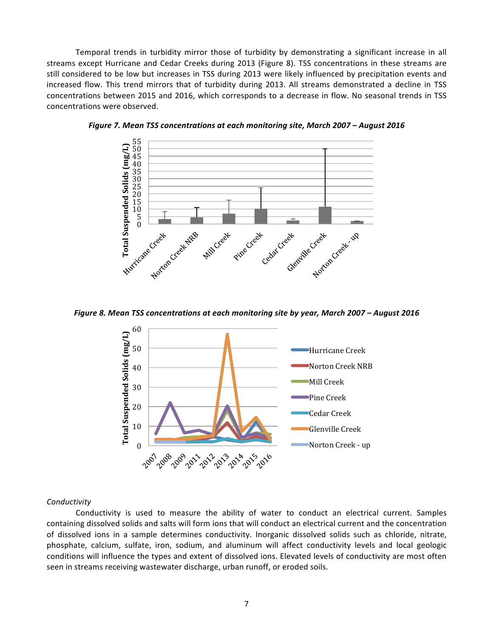Temporal trends in turbidity mirror those of turbidity by demonstrating a significant increase in all streams except Hurricane and Cedar Creeks during 2013 (Figure 8). TSS concentrations in these streams are still considered to be low but increases in TSS during 2013 were likely influenced by precipitation events and increased flow. This trend mirrors that of turbidity during 2013. All streams demonstrated a decline in TSS concentrations between 2015 and 2016, which corresponds to a decrease in flow. No seasonal trends in TSS concentrations were observed.



*Figure 7. Mean TSS concentrations at each monitoring site, March 2007 – August 2016* 

Figure 8. Mean TSS concentrations at each monitoring site by year, March 2007 – August 2016



#### *Conductivity*

Conductivity is used to measure the ability of water to conduct an electrical current. Samples containing dissolved solids and salts will form ions that will conduct an electrical current and the concentration of dissolved ions in a sample determines conductivity. Inorganic dissolved solids such as chloride, nitrate, phosphate, calcium, sulfate, iron, sodium, and aluminum will affect conductivity levels and local geologic conditions will influence the types and extent of dissolved ions. Elevated levels of conductivity are most often seen in streams receiving wastewater discharge, urban runoff, or eroded soils.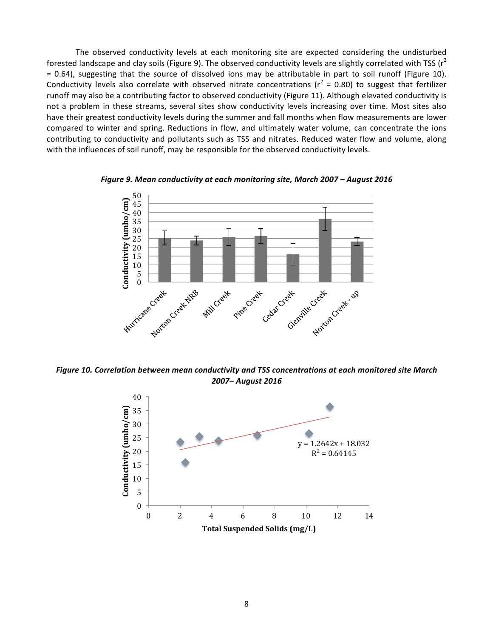The observed conductivity levels at each monitoring site are expected considering the undisturbed forested landscape and clay soils (Figure 9). The observed conductivity levels are slightly correlated with TSS ( $r^2$ )  $= 0.64$ ), suggesting that the source of dissolved ions may be attributable in part to soil runoff (Figure 10). Conductivity levels also correlate with observed nitrate concentrations ( $r^2$  = 0.80) to suggest that fertilizer runoff may also be a contributing factor to observed conductivity (Figure 11). Although elevated conductivity is not a problem in these streams, several sites show conductivity levels increasing over time. Most sites also have their greatest conductivity levels during the summer and fall months when flow measurements are lower compared to winter and spring. Reductions in flow, and ultimately water volume, can concentrate the ions contributing to conductivity and pollutants such as TSS and nitrates. Reduced water flow and volume, along with the influences of soil runoff, may be responsible for the observed conductivity levels.



*Figure* 9. Mean conductivity at each monitoring site, March 2007 – August 2016

Figure 10. Correlation between mean conductivity and TSS concentrations at each monitored site March *2007– August 2016*

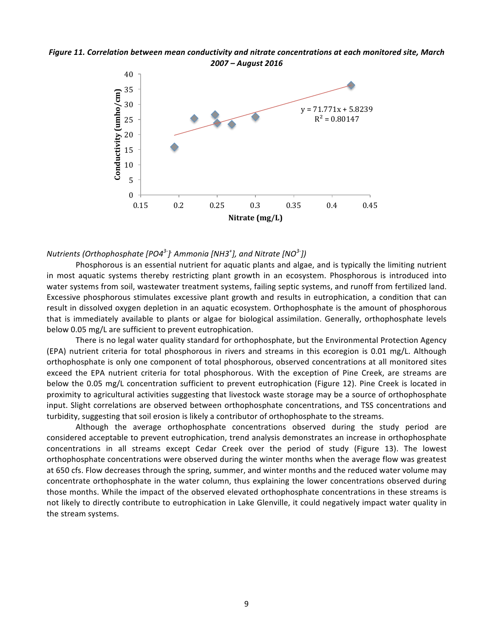



## $N$ utrients (Orthophosphate [PO4<sup>3-</sup>]<sup>,</sup> Ammonia [NH3<sup>+</sup>], and Nitrate [NO<sup>3-</sup>])

Phosphorous is an essential nutrient for aquatic plants and algae, and is typically the limiting nutrient in most aquatic systems thereby restricting plant growth in an ecosystem. Phosphorous is introduced into water systems from soil, wastewater treatment systems, failing septic systems, and runoff from fertilized land. Excessive phosphorous stimulates excessive plant growth and results in eutrophication, a condition that can result in dissolved oxygen depletion in an aquatic ecosystem. Orthophosphate is the amount of phosphorous that is immediately available to plants or algae for biological assimilation. Generally, orthophosphate levels below 0.05 mg/L are sufficient to prevent eutrophication.

There is no legal water quality standard for orthophosphate, but the Environmental Protection Agency (EPA) nutrient criteria for total phosphorous in rivers and streams in this ecoregion is  $0.01 \text{ mg/L}$ . Although orthophosphate is only one component of total phosphorous, observed concentrations at all monitored sites exceed the EPA nutrient criteria for total phosphorous. With the exception of Pine Creek, are streams are below the 0.05 mg/L concentration sufficient to prevent eutrophication (Figure 12). Pine Creek is located in proximity to agricultural activities suggesting that livestock waste storage may be a source of orthophosphate input. Slight correlations are observed between orthophosphate concentrations, and TSS concentrations and turbidity, suggesting that soil erosion is likely a contributor of orthophosphate to the streams.

Although the average orthophosphate concentrations observed during the study period are considered acceptable to prevent eutrophication, trend analysis demonstrates an increase in orthophosphate concentrations in all streams except Cedar Creek over the period of study (Figure 13). The lowest orthophosphate concentrations were observed during the winter months when the average flow was greatest at 650 cfs. Flow decreases through the spring, summer, and winter months and the reduced water volume may concentrate orthophosphate in the water column, thus explaining the lower concentrations observed during those months. While the impact of the observed elevated orthophosphate concentrations in these streams is not likely to directly contribute to eutrophication in Lake Glenville, it could negatively impact water quality in the stream systems.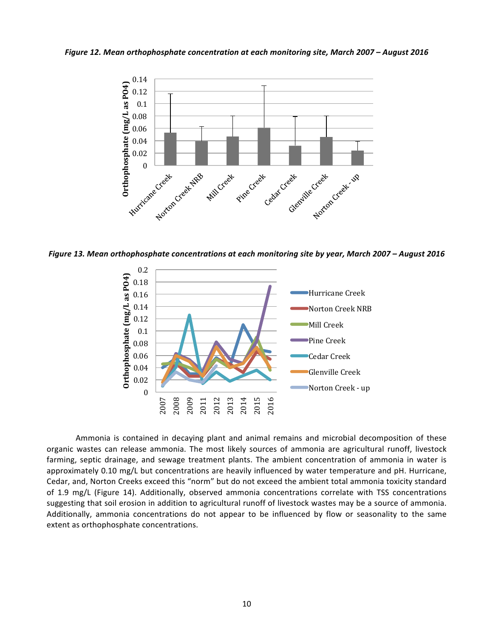Figure 12. Mean orthophosphate concentration at each monitoring site, March 2007 – August 2016



*Figure 13. Mean orthophosphate concentrations at each monitoring site by year, March 2007* – *August 2016* 



Ammonia is contained in decaying plant and animal remains and microbial decomposition of these organic wastes can release ammonia. The most likely sources of ammonia are agricultural runoff, livestock farming, septic drainage, and sewage treatment plants. The ambient concentration of ammonia in water is approximately 0.10 mg/L but concentrations are heavily influenced by water temperature and pH. Hurricane, Cedar, and, Norton Creeks exceed this "norm" but do not exceed the ambient total ammonia toxicity standard of 1.9 mg/L (Figure 14). Additionally, observed ammonia concentrations correlate with TSS concentrations suggesting that soil erosion in addition to agricultural runoff of livestock wastes may be a source of ammonia. Additionally, ammonia concentrations do not appear to be influenced by flow or seasonality to the same extent as orthophosphate concentrations.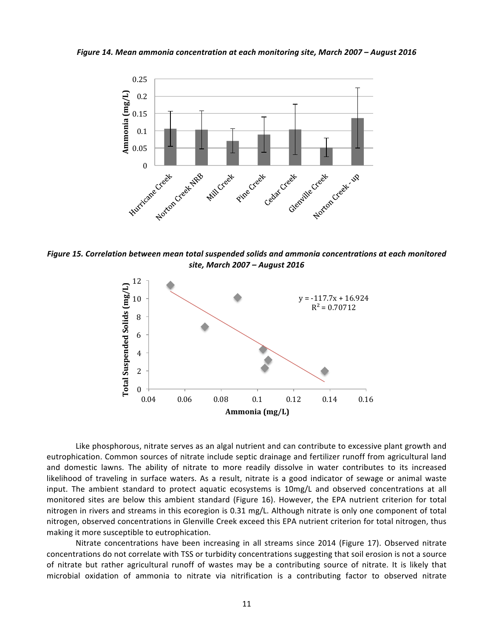Figure 14. Mean ammonia concentration at each monitoring site, March 2007 – August 2016



Figure 15. Correlation between mean total suspended solids and ammonia concentrations at each monitored *site, March 2007 – August 2016*



Like phosphorous, nitrate serves as an algal nutrient and can contribute to excessive plant growth and eutrophication. Common sources of nitrate include septic drainage and fertilizer runoff from agricultural land and domestic lawns. The ability of nitrate to more readily dissolve in water contributes to its increased likelihood of traveling in surface waters. As a result, nitrate is a good indicator of sewage or animal waste input. The ambient standard to protect aquatic ecosystems is 10mg/L and observed concentrations at all monitored sites are below this ambient standard (Figure 16). However, the EPA nutrient criterion for total nitrogen in rivers and streams in this ecoregion is 0.31 mg/L. Although nitrate is only one component of total nitrogen, observed concentrations in Glenville Creek exceed this EPA nutrient criterion for total nitrogen, thus making it more susceptible to eutrophication.

Nitrate concentrations have been increasing in all streams since 2014 (Figure 17). Observed nitrate concentrations do not correlate with TSS or turbidity concentrations suggesting that soil erosion is not a source of nitrate but rather agricultural runoff of wastes may be a contributing source of nitrate. It is likely that microbial oxidation of ammonia to nitrate via nitrification is a contributing factor to observed nitrate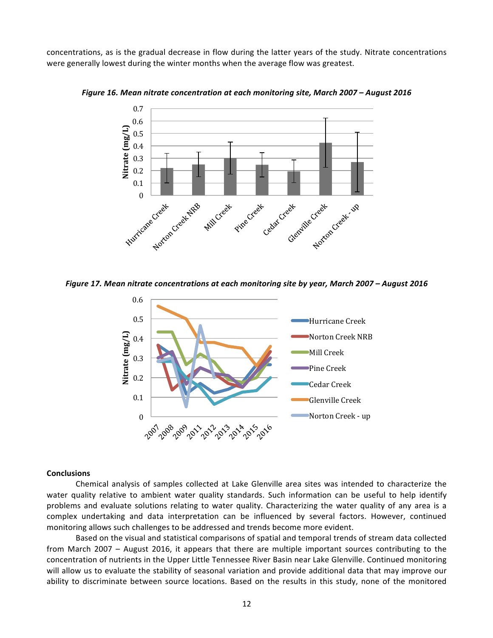concentrations, as is the gradual decrease in flow during the latter years of the study. Nitrate concentrations were generally lowest during the winter months when the average flow was greatest.



Figure 16. Mean nitrate concentration at each monitoring site, March 2007 – August 2016

Figure 17. Mean nitrate concentrations at each monitoring site by year, March 2007 - August 2016



#### **Conclusions**

Chemical analysis of samples collected at Lake Glenville area sites was intended to characterize the water quality relative to ambient water quality standards. Such information can be useful to help identify problems and evaluate solutions relating to water quality. Characterizing the water quality of any area is a complex undertaking and data interpretation can be influenced by several factors. However, continued monitoring allows such challenges to be addressed and trends become more evident.

Based on the visual and statistical comparisons of spatial and temporal trends of stream data collected from March 2007 – August 2016, it appears that there are multiple important sources contributing to the concentration of nutrients in the Upper Little Tennessee River Basin near Lake Glenville. Continued monitoring will allow us to evaluate the stability of seasonal variation and provide additional data that may improve our ability to discriminate between source locations. Based on the results in this study, none of the monitored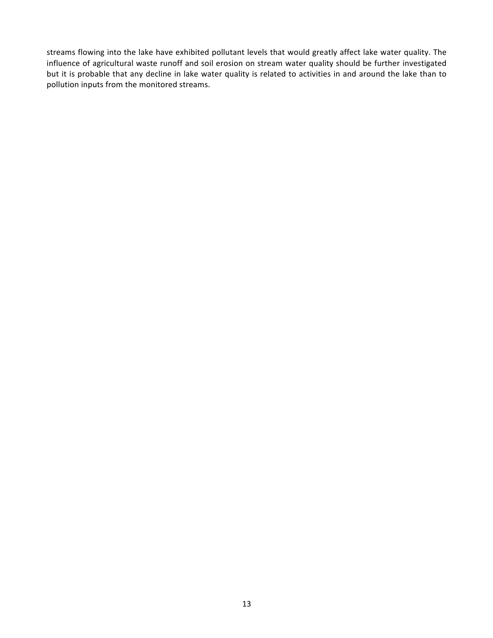streams flowing into the lake have exhibited pollutant levels that would greatly affect lake water quality. The influence of agricultural waste runoff and soil erosion on stream water quality should be further investigated but it is probable that any decline in lake water quality is related to activities in and around the lake than to pollution inputs from the monitored streams.